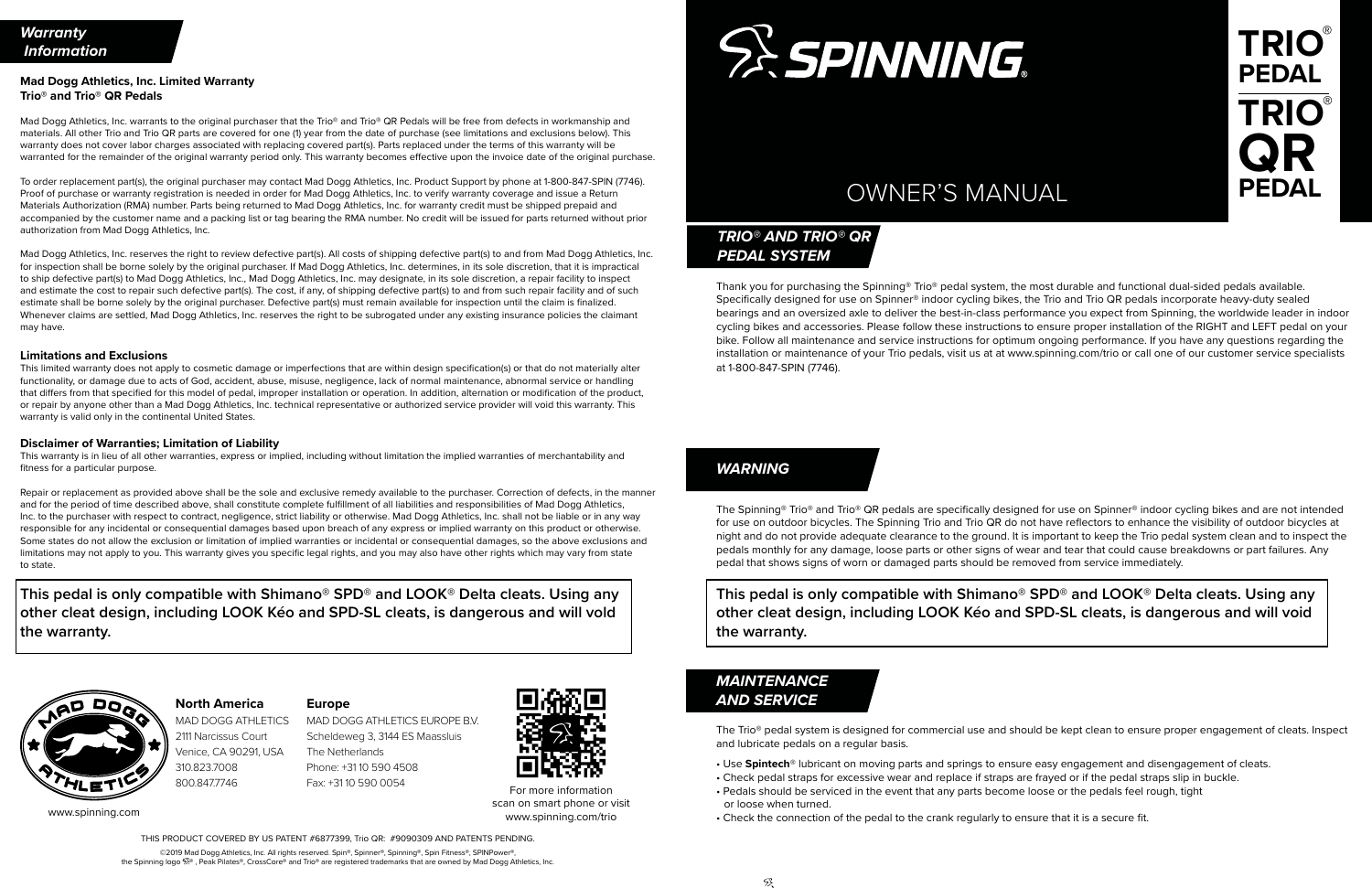# OWNER'S MANUAL

THIS PRODUCT COVERED BY US PATENT #6877399, Trio QR: #9090309 AND PATENTS PENDING.

©2019 Mad Dogg Athletics, Inc. All rights reserved. Spin®, Spinner®, Spinning®, Spin Fitness®, SPINPower® the Spinning logo  $\mathbb{S}^*$ , Peak Pilates®, CrossCore® and Trio® are registered trademarks that are owned by Mad Dogg Athletics, Inc.

53.



The Spinning® Trio® and Trio® QR pedals are specifically designed for use on Spinner® indoor cycling bikes and are not intended for use on outdoor bicycles. The Spinning Trio and Trio QR do not have reflectors to enhance the visibility of outdoor bicycles at night and do not provide adequate clearance to the ground. It is important to keep the Trio pedal system clean and to inspect the pedals monthly for any damage, loose parts or other signs of wear and tear that could cause breakdowns or part failures. Any pedal that shows signs of worn or damaged parts should be removed from service immediately.

## **This pedal is only compatible with Shimano® SPD® and LOOK® Delta cleats. Using any other cleat design, including LOOK Kéo and SPD-SL cleats, is dangerous and will void**

**the warranty.**

## *WARNING*

## *MAINTENANCE AND SERVICE*

## **Mad Dogg Athletics, Inc. Limited Warranty Trio® and Trio® QR Pedals**

Mad Dogg Athletics, Inc. warrants to the original purchaser that the Trio® and Trio® QR Pedals will be free from defects in workmanship and materials. All other Trio and Trio QR parts are covered for one (1) year from the date of purchase (see limitations and exclusions below). This warranty does not cover labor charges associated with replacing covered part(s). Parts replaced under the terms of this warranty will be warranted for the remainder of the original warranty period only. This warranty becomes effective upon the invoice date of the original purchase.

To order replacement part(s), the original purchaser may contact Mad Dogg Athletics, Inc. Product Support by phone at 1-800-847-SPIN (7746). Proof of purchase or warranty registration is needed in order for Mad Dogg Athletics, Inc. to verify warranty coverage and issue a Return Materials Authorization (RMA) number. Parts being returned to Mad Dogg Athletics, Inc. for warranty credit must be shipped prepaid and accompanied by the customer name and a packing list or tag bearing the RMA number. No credit will be issued for parts returned without prior authorization from Mad Dogg Athletics, Inc.

Mad Dogg Athletics, Inc. reserves the right to review defective part(s). All costs of shipping defective part(s) to and from Mad Dogg Athletics, Inc. for inspection shall be borne solely by the original purchaser. If Mad Dogg Athletics, Inc. determines, in its sole discretion, that it is impractical to ship defective part(s) to Mad Dogg Athletics, Inc., Mad Dogg Athletics, Inc. may designate, in its sole discretion, a repair facility to inspect and estimate the cost to repair such defective part(s). The cost, if any, of shipping defective part(s) to and from such repair facility and of such estimate shall be borne solely by the original purchaser. Defective part(s) must remain available for inspection until the claim is finalized. Whenever claims are settled, Mad Dogg Athletics, Inc. reserves the right to be subrogated under any existing insurance policies the claimant may have.

#### **Limitations and Exclusions**

This limited warranty does not apply to cosmetic damage or imperfections that are within design specification(s) or that do not materially alter functionality, or damage due to acts of God, accident, abuse, misuse, negligence, lack of normal maintenance, abnormal service or handling that differs from that specified for this model of pedal, improper installation or operation. In addition, alternation or modification of the product, or repair by anyone other than a Mad Dogg Athletics, Inc. technical representative or authorized service provider will void this warranty. This warranty is valid only in the continental United States.

#### **Disclaimer of Warranties; Limitation of Liability**

This warranty is in lieu of all other warranties, express or implied, including without limitation the implied warranties of merchantability and fitness for a particular purpose.

Repair or replacement as provided above shall be the sole and exclusive remedy available to the purchaser. Correction of defects, in the manner and for the period of time described above, shall constitute complete fulfillment of all liabilities and responsibilities of Mad Dogg Athletics, Inc. to the purchaser with respect to contract, negligence, strict liability or otherwise. Mad Dogg Athletics, Inc. shall not be liable or in any way responsible for any incidental or consequential damages based upon breach of any express or implied warranty on this product or otherwise. Some states do not allow the exclusion or limitation of implied warranties or incidental or consequential damages, so the above exclusions and limitations may not apply to you. This warranty gives you specific legal rights, and you may also have other rights which may vary from state to state.

**This pedal is only compatible with Shimano® SPD® and LOOK® Delta cleats. Using any other cleat design, including LOOK Kéo and SPD-SL cleats, is dangerous and will vold the warranty.**



For more information scan on smart phone or visit www.spinning.com/trio



The Trio® pedal system is designed for commercial use and should be kept clean to ensure proper engagement of cleats. Inspect and lubricate pedals on a regular basis.

- Use **Spintech**® lubricant on moving parts and springs to ensure easy engagement and disengagement of cleats.
- Check pedal straps for excessive wear and replace if straps are frayed or if the pedal straps slip in buckle.
- Pedals should be serviced in the event that any parts become loose or the pedals feel rough, tight or loose when turned.
- Check the connection of the pedal to the crank regularly to ensure that it is a secure fit.

## **North America**

MAD DOGG ATHLETICS 2111 Narcissus Court Venice, CA 90291, USA 310.823.7008 800.847.7746

Thank you for purchasing the Spinning® Trio® pedal system, the most durable and functional dual-sided pedals available. Specifically designed for use on Spinner® indoor cycling bikes, the Trio and Trio QR pedals incorporate heavy-duty sealed bearings and an oversized axle to deliver the best-in-class performance you expect from Spinning, the worldwide leader in indoor cycling bikes and accessories. Please follow these instructions to ensure proper installation of the RIGHT and LEFT pedal on your bike. Follow all maintenance and service instructions for optimum ongoing performance. If you have any questions regarding the installation or maintenance of your Trio pedals, visit us at at www.spinning.com/trio or call one of our customer service specialists at 1-800-847-SPIN (7746).

## *TRIO® AND TRIO® QR PEDAL SYSTEM*



www.spinning.com

#### **Europe**

MAD DOGG ATHLETICS EUROPE B.V. Scheldeweg 3, 3144 ES Maassluis The Netherlands Phone: +31 10 590 4508 Fax: +31 10 590 0054